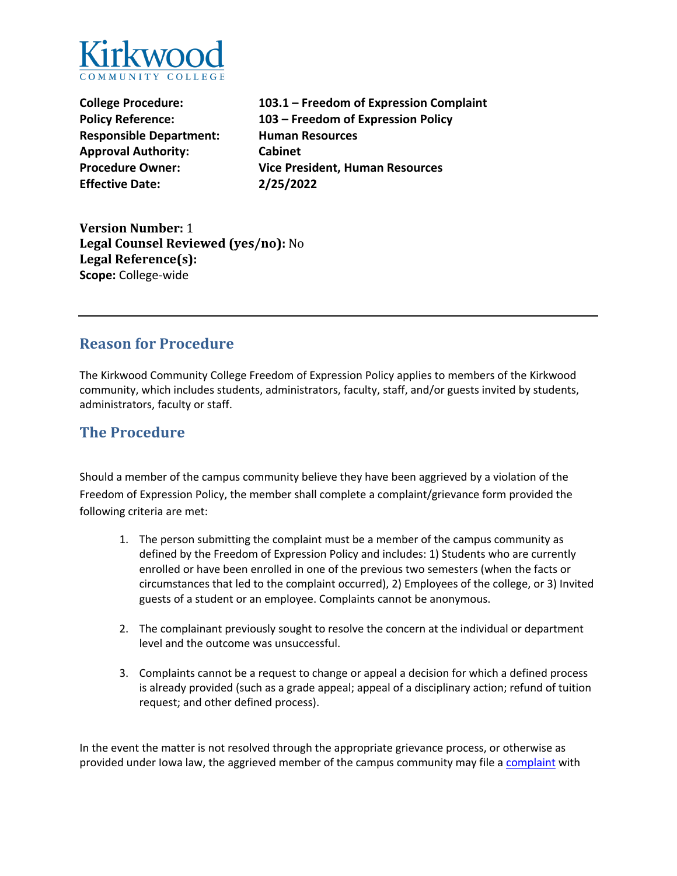

**Responsible Department: Human Resources Approval Authority: Cabinet Effective Date: 2/25/2022** 

**College Procedure: 103.1 – Freedom of Expression Complaint Policy Reference: 103 – Freedom of Expression Policy Procedure Owner: Vice President, Human Resources** 

**Version Number:** 1 **Legal Counsel Reviewed (yes/no):** No **Legal Reference(s): Scope:** College-wide

### **Reason for Procedure**

 The Kirkwood Community College Freedom of Expression Policy applies to members of the Kirkwood community, which includes students, administrators, faculty, staff, and/or guests invited by students, administrators, faculty or staff.

# **The Procedure**

 Should a member of the campus community believe they have been aggrieved by a violation of the Freedom of Expression Policy, the member shall complete a complaint/grievance form provided the following criteria are met:

- 1. The person submitting the complaint must be a member of the campus community as defined by the Freedom of Expression Policy and includes: 1) Students who are currently enrolled or have been enrolled in one of the previous two semesters (when the facts or guests of a student or an employee. Complaints cannot be anonymous. circumstances that led to the complaint occurred), 2) Employees of the college, or 3) Invited
- 2. The complainant previously sought to resolve the concern at the individual or department level and the outcome was unsuccessful.
- 3. Complaints cannot be a request to change or appeal a decision for which a defined process is already provided (such as a grade appeal; appeal of a disciplinary action; refund of tuition request; and other defined process).

provided under Iowa law, the aggrieved member of the campus community may file a complaint with In the event the matter is not resolved through the appropriate grievance process, or otherwise as